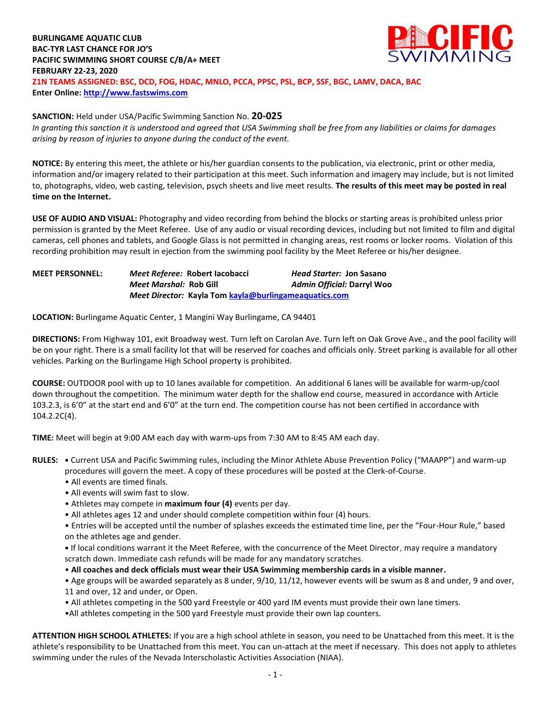# **BURLINGAME AQUATIC CLUB BAC-TYR LAST CHANCE FOR JO'S PACIFIC SWIMMING SHORT COURSE C/B/A+ MEET FEBRUARY 22-23, 2020 Z1N TEAMS ASSIGNED: BSC, DCD, FOG, HDAC, MNLO, PCCA, PPSC, PSL, BCP, SSF, BGC, LAMV, DACA, BAC Enter Online: [http://www.fastswims.com](http://www.fastswims.com/)**

## **SANCTION:** Held under USA/Pacific Swimming Sanction No. **20-025**

*In granting this sanction it is understood and agreed that USA Swimming shall be free from any liabilities or claims for damages arising by reason of injuries to anyone during the conduct of the event.* 

**NOTICE:** By entering this meet, the athlete or his/her guardian consents to the publication, via electronic, print or other media, information and/or imagery related to their participation at this meet. Such information and imagery may include, but is not limited to, photographs, video, web casting, television, psych sheets and live meet results. **The results of this meet may be posted in real time on the Internet.**

**USE OF AUDIO AND VISUAL:** Photography and video recording from behind the blocks or starting areas is prohibited unless prior permission is granted by the Meet Referee. Use of any audio or visual recording devices, including but not limited to film and digital cameras, cell phones and tablets, and Google Glass is not permitted in changing areas, rest rooms or locker rooms. Violation of this recording prohibition may result in ejection from the swimming pool facility by the Meet Referee or his/her designee.

| <b>MEET PERSONNEL:</b> |                               | Meet Referee: Robert Iacobacci                        | Head Starter: Jon Sasano   |
|------------------------|-------------------------------|-------------------------------------------------------|----------------------------|
|                        | <i>Meet Marshal:</i> Rob Gill |                                                       | Admin Official: Darryl Woo |
|                        |                               | Meet Director: Kayla Tom kayla@burlingameaquatics.com |                            |

**LOCATION:** Burlingame Aquatic Center, 1 Mangini Way Burlingame, CA 94401

**DIRECTIONS:** From Highway 101, exit Broadway west. Turn left on Carolan Ave. Turn left on Oak Grove Ave., and the pool facility will be on your right. There is a small facility lot that will be reserved for coaches and officials only. Street parking is available for all other vehicles. Parking on the Burlingame High School property is prohibited.

**COURSE:** OUTDOOR pool with up to 10 lanes available for competition. An additional 6 lanes will be available for warm-up/cool down throughout the competition. The minimum water depth for the shallow end course, measured in accordance with Article 103.2.3, is 6'0" at the start end and 6'0" at the turn end. The competition course has not been certified in accordance with 104.2.2C(4).

**TIME:** Meet will begin at 9:00 AM each day with warm-ups from 7:30 AM to 8:45 AM each day.

**RULES: •** Current USA and Pacific Swimming rules, including the Minor Athlete Abuse Prevention Policy ("MAAPP") and warm-up procedures will govern the meet. A copy of these procedures will be posted at the Clerk-of-Course.

- All events are timed finals.
- All events will swim fast to slow.
- Athletes may compete in **maximum four (4)** events per day.
- All athletes ages 12 and under should complete competition within four (4) hours.

• Entries will be accepted until the number of splashes exceeds the estimated time line, per the "Four-Hour Rule," based on the athletes age and gender.

**•** If local conditions warrant it the Meet Referee, with the concurrence of the Meet Director, may require a mandatory scratch down. Immediate cash refunds will be made for any mandatory scratches.

• **All coaches and deck officials must wear their USA Swimming membership cards in a visible manner.** 

• Age groups will be awarded separately as 8 under, 9/10, 11/12, however events will be swum as 8 and under, 9 and over, 11 and over, 12 and under, or Open.

• All athletes competing in the 500 yard Freestyle or 400 yard IM events must provide their own lane timers.

•All athletes competing in the 500 yard Freestyle must provide their own lap counters.

**ATTENTION HIGH SCHOOL ATHLETES:** If you are a high school athlete in season, you need to be Unattached from this meet. It is the athlete's responsibility to be Unattached from this meet. You can un-attach at the meet if necessary. This does not apply to athletes swimming under the rules of the Nevada Interscholastic Activities Association (NIAA).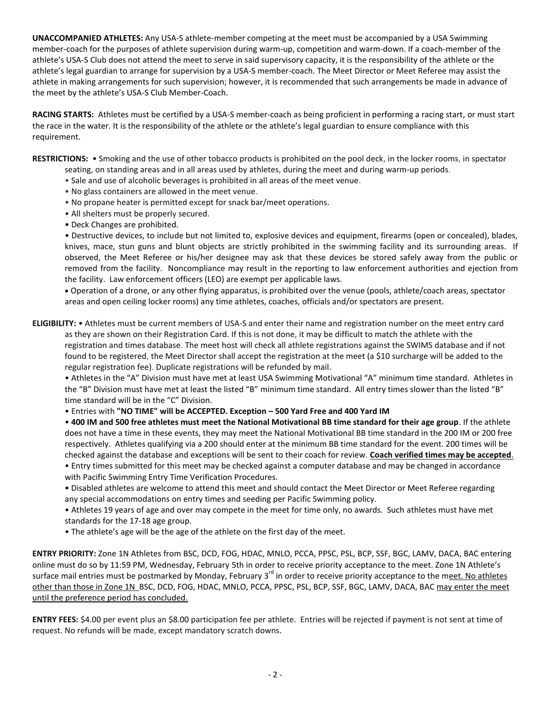**UNACCOMPANIED ATHLETES:** Any USA-S athlete-member competing at the meet must be accompanied by a USA Swimming member-coach for the purposes of athlete supervision during warm-up, competition and warm-down. If a coach-member of the athlete's USA-S Club does not attend the meet to serve in said supervisory capacity, it is the responsibility of the athlete or the athlete's legal guardian to arrange for supervision by a USA-S member-coach. The Meet Director or Meet Referee may assist the athlete in making arrangements for such supervision; however, it is recommended that such arrangements be made in advance of the meet by the athlete's USA-S Club Member-Coach.

**RACING STARTS:** Athletes must be certified by a USA-S member-coach as being proficient in performing a racing start, or must start the race in the water. It is the responsibility of the athlete or the athlete's legal guardian to ensure compliance with this requirement.

**RESTRICTIONS:** • Smoking and the use of other tobacco products is prohibited on the pool deck, in the locker rooms, in spectator seating, on standing areas and in all areas used by athletes, during the meet and during warm-up periods.

- Sale and use of alcoholic beverages is prohibited in all areas of the meet venue.
- No glass containers are allowed in the meet venue.
- No propane heater is permitted except for snack bar/meet operations.
- All shelters must be properly secured.
- Deck Changes are prohibited.

• Destructive devices, to include but not limited to, explosive devices and equipment, firearms (open or concealed), blades, knives, mace, stun guns and blunt objects are strictly prohibited in the swimming facility and its surrounding areas. If observed, the Meet Referee or his/her designee may ask that these devices be stored safely away from the public or removed from the facility. Noncompliance may result in the reporting to law enforcement authorities and ejection from the facility. Law enforcement officers (LEO) are exempt per applicable laws.

 Operation of a drone, or any other flying apparatus, is prohibited over the venue (pools, athlete/coach areas, spectator areas and open ceiling locker rooms) any time athletes, coaches, officials and/or spectators are present.

**ELIGIBILITY:** • Athletes must be current members of USA-S and enter their name and registration number on the meet entry card as they are shown on their Registration Card. If this is not done, it may be difficult to match the athlete with the registration and times database. The meet host will check all athlete registrations against the SWIMS database and if not found to be registered, the Meet Director shall accept the registration at the meet (a \$10 surcharge will be added to the regular registration fee). Duplicate registrations will be refunded by mail.

• Athletes in the "A" Division must have met at least USA Swimming Motivational "A" minimum time standard. Athletes in the "B" Division must have met at least the listed "B" minimum time standard. All entry times slower than the listed "B" time standard will be in the "C" Division.

• Entries with **"NO TIME" will be ACCEPTED. Exception – 500 Yard Free and 400 Yard IM**

• **400 IM and 500 free athletes must meet the National Motivational BB time standard for their age group**. If the athlete does not have a time in these events, they may meet the National Motivational BB time standard in the 200 IM or 200 free respectively. Athletes qualifying via a 200 should enter at the minimum BB time standard for the event. 200 times will be checked against the database and exceptions will be sent to their coach for review. **Coach verified times may be accepted**.

- Entry times submitted for this meet may be checked against a computer database and may be changed in accordance with Pacific Swimming Entry Time Verification Procedures.
- Disabled athletes are welcome to attend this meet and should contact the Meet Director or Meet Referee regarding any special accommodations on entry times and seeding per Pacific Swimming policy.

• Athletes 19 years of age and over may compete in the meet for time only, no awards. Such athletes must have met standards for the 17-18 age group.

• The athlete's age will be the age of the athlete on the first day of the meet.

**ENTRY PRIORITY:** Zone 1N Athletes from BSC, DCD, FOG, HDAC, MNLO, PCCA, PPSC, PSL, BCP, SSF, BGC, LAMV, DACA, BAC entering online must do so by 11:59 PM, Wednesday, February 5th in order to receive priority acceptance to the meet. Zone 1N Athlete's surface mail entries must be postmarked by Monday, February 3<sup>rd</sup> in order to receive priority acceptance to the m<u>eet. No athletes</u> other than those in Zone 1N BSC, DCD, FOG, HDAC, MNLO, PCCA, PPSC, PSL, BCP, SSF, BGC, LAMV, DACA, BAC may enter the meet until the preference period has concluded.

**ENTRY FEES:** \$4.00 per event plus an \$8.00 participation fee per athlete. Entries will be rejected if payment is not sent at time of request. No refunds will be made, except mandatory scratch downs.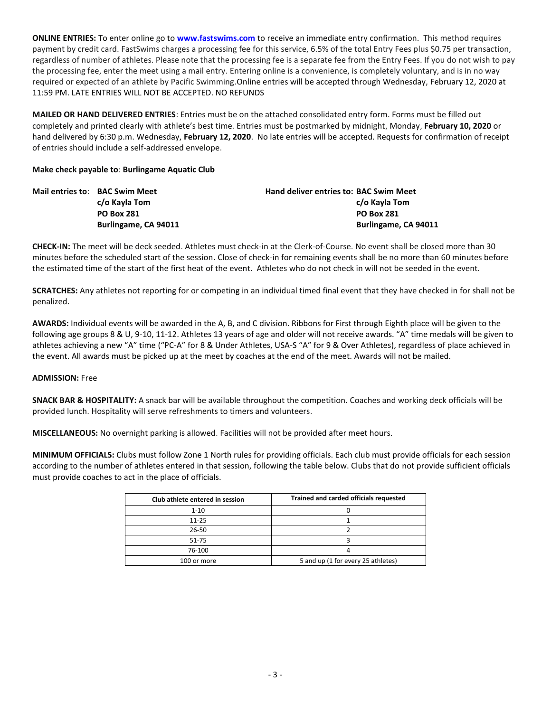**ONLINE ENTRIES:** To enter online go to **[www.fastswims.com](http://www.fastswims.com/)** to receive an immediate entry confirmation. This method requires payment by credit card. FastSwims charges a processing fee for this service, 6.5% of the total Entry Fees plus \$0.75 per transaction, regardless of number of athletes. Please note that the processing fee is a separate fee from the Entry Fees. If you do not wish to pay the processing fee, enter the meet using a mail entry. Entering online is a convenience, is completely voluntary, and is in no way required or expected of an athlete by Pacific Swimming.Online entries will be accepted through Wednesday, February 12, 2020 at 11:59 PM. LATE ENTRIES WILL NOT BE ACCEPTED. NO REFUNDS

**MAILED OR HAND DELIVERED ENTRIES**: Entries must be on the attached consolidated entry form. Forms must be filled out completely and printed clearly with athlete's best time. Entries must be postmarked by midnight, Monday, **February 10, 2020** or hand delivered by 6:30 p.m. Wednesday, **February 12, 2020**. No late entries will be accepted. Requests for confirmation of receipt of entries should include a self-addressed envelope.

# **Make check payable to**: **Burlingame Aquatic Club**

| <b>Mail entries to: BAC Swim Meet</b> | <b>Hand deliver entries to: BAC Swim Meet</b> |
|---------------------------------------|-----------------------------------------------|
| c/o Kayla Tom                         | c/o Kayla Tom                                 |
| <b>PO Box 281</b>                     | <b>PO Box 281</b>                             |
| Burlingame, CA 94011                  | Burlingame, CA 94011                          |

**CHECK-IN:** The meet will be deck seeded. Athletes must check-in at the Clerk-of-Course. No event shall be closed more than 30 minutes before the scheduled start of the session. Close of check-in for remaining events shall be no more than 60 minutes before the estimated time of the start of the first heat of the event. Athletes who do not check in will not be seeded in the event.

**SCRATCHES:** Any athletes not reporting for or competing in an individual timed final event that they have checked in for shall not be penalized.

**AWARDS:** Individual events will be awarded in the A, B, and C division. Ribbons for First through Eighth place will be given to the following age groups 8 & U, 9-10, 11-12. Athletes 13 years of age and older will not receive awards. "A" time medals will be given to athletes achieving a new "A" time ("PC-A" for 8 & Under Athletes, USA-S "A" for 9 & Over Athletes), regardless of place achieved in the event. All awards must be picked up at the meet by coaches at the end of the meet. Awards will not be mailed.

#### **ADMISSION:** Free

**SNACK BAR & HOSPITALITY:** A snack bar will be available throughout the competition. Coaches and working deck officials will be provided lunch. Hospitality will serve refreshments to timers and volunteers.

**MISCELLANEOUS:** No overnight parking is allowed. Facilities will not be provided after meet hours.

**MINIMUM OFFICIALS:** Clubs must follow Zone 1 North rules for providing officials. Each club must provide officials for each session according to the number of athletes entered in that session, following the table below. Clubs that do not provide sufficient officials must provide coaches to act in the place of officials.

| Club athlete entered in session | Trained and carded officials requested |
|---------------------------------|----------------------------------------|
| $1 - 10$                        |                                        |
| $11 - 25$                       |                                        |
| 26-50                           |                                        |
| 51-75                           |                                        |
| 76-100                          |                                        |
| 100 or more                     | 5 and up (1 for every 25 athletes)     |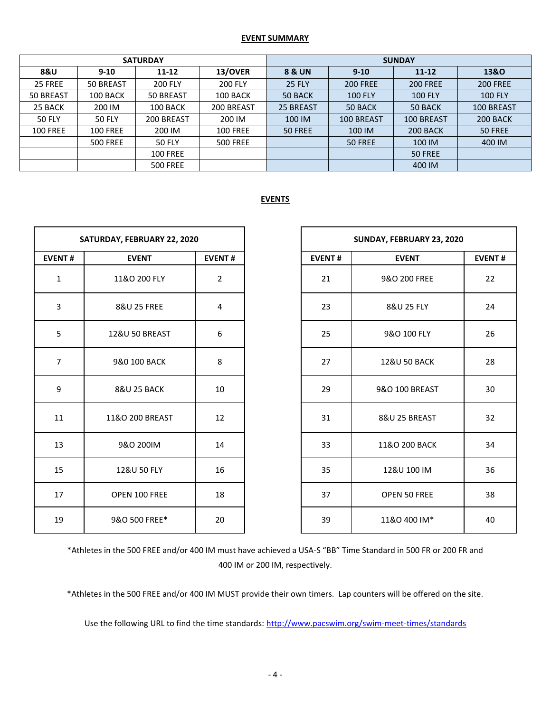## **EVENT SUMMARY**

|                 |                 | <b>SATURDAY</b> |                 | <b>SUNDAY</b> |                 |                 |                 |  |  |  |
|-----------------|-----------------|-----------------|-----------------|---------------|-----------------|-----------------|-----------------|--|--|--|
| <b>8&amp;U</b>  | $9 - 10$        | 11-12           | 13/OVER         | 8 & UN        | $9 - 10$        |                 | 13&0            |  |  |  |
| 25 FREE         | 50 BREAST       | <b>200 FLY</b>  | <b>200 FLY</b>  | <b>25 FLY</b> | <b>200 FREE</b> | <b>200 FREE</b> | <b>200 FREE</b> |  |  |  |
| 50 BREAST       | 100 BACK        | 50 BREAST       | 100 BACK        | 50 BACK       | <b>100 FLY</b>  | <b>100 FLY</b>  | <b>100 FLY</b>  |  |  |  |
| 25 BACK         | 200 IM          | 100 BACK        | 200 BREAST      | 25 BREAST     | 50 BACK         | 50 BACK         | 100 BREAST      |  |  |  |
| <b>50 FLY</b>   | <b>50 FLY</b>   | 200 BREAST      | 200 IM          | 100 IM        | 100 BREAST      | 100 BREAST      | 200 BACK        |  |  |  |
| <b>100 FREE</b> | <b>100 FREE</b> | 200 IM          | <b>100 FREE</b> | 50 FREE       | 100 IM          | 200 BACK        | 50 FREE         |  |  |  |
|                 | <b>500 FREE</b> | <b>50 FLY</b>   | <b>500 FREE</b> |               | 50 FREE         | 100 IM          | 400 IM          |  |  |  |
|                 |                 | <b>100 FREE</b> |                 |               |                 | 50 FREE         |                 |  |  |  |
|                 |                 | <b>500 FREE</b> |                 |               |                 | 400 IM          |                 |  |  |  |

# **EVENTS**

|                | SATURDAY, FEBRUARY 22, 2020  |                |               | SUNDAY, FEBRUARY 23, 2020 |
|----------------|------------------------------|----------------|---------------|---------------------------|
| <b>EVENT#</b>  | <b>EVENT</b>                 | <b>EVENT#</b>  | <b>EVENT#</b> | <b>EVENT</b>              |
| $\mathbf{1}$   | 11&O 200 FLY                 | $\overline{2}$ | 21            | 9&O 200 FREE              |
| 3              | 8&U 25 FREE<br>4             |                | 23            | 8&U 25 FLY                |
| 5              | <b>12&amp;U 50 BREAST</b>    | 6              | 25            | 9&O 100 FLY               |
| $\overline{7}$ | 9&0 100 BACK                 | 8              | 27            | 12&U 50 BACK              |
| 9              | <b>8&amp;U 25 BACK</b><br>10 |                | 29            | 9&O 100 BREAST            |
| 11             | 11&O 200 BREAST              | 12             | 31            | 8&U 25 BREAST             |
| 13             | 9&O 200IM                    | 14             | 33            | 11&O 200 BACK             |
| 15             | 12&U 50 FLY                  | 16             | 35            | 12&U 100 IM               |
| 17             | OPEN 100 FREE<br>18          |                | 37            | <b>OPEN 50 FREE</b>       |
| 19             | 9&O 500 FREE*                | 20             | 39            | 11&O 400 IM*              |

| SATURDAY, FEBRUARY 22, 2020 |                           |               | SUNDAY, FEBRUARY 23, 2020                      |                         |    |  |  |
|-----------------------------|---------------------------|---------------|------------------------------------------------|-------------------------|----|--|--|
| <b>EVENT#</b>               | <b>EVENT</b>              | <b>EVENT#</b> | <b>EVENT#</b><br><b>EVENT#</b><br><b>EVENT</b> |                         |    |  |  |
| $\mathbf{1}$                | 11&O 200 FLY              | 2             | 21                                             | 9&O 200 FREE            | 22 |  |  |
| $\mathbf{3}$                | 8&U 25 FREE               | 4             | 23                                             | 8&U 25 FLY              | 24 |  |  |
| 5                           | <b>12&amp;U 50 BREAST</b> | 6             | 25                                             | 9&O 100 FLY             | 26 |  |  |
| $\overline{7}$              | 9&0 100 BACK              | 8             | 27                                             | <b>12&amp;U 50 BACK</b> | 28 |  |  |
| 9                           | <b>8&amp;U 25 BACK</b>    | 10            | 29                                             | 9&O 100 BREAST          | 30 |  |  |
| 11                          | 11&O 200 BREAST           | 12            | 31                                             | 8&U 25 BREAST           | 32 |  |  |
| 13                          | 9&O 200IM                 | 14            | 33                                             | 11&O 200 BACK           | 34 |  |  |
| 15                          | 12&U 50 FLY               | 16            | 35                                             | 12&U 100 IM             | 36 |  |  |
| 17                          | OPEN 100 FREE             | 18            | 37                                             | <b>OPEN 50 FREE</b>     | 38 |  |  |
| 19                          | 9&O 500 FREE*             | 20            | 39<br>11&O 400 IM*<br>40                       |                         |    |  |  |

\*Athletes in the 500 FREE and/or 400 IM must have achieved a USA-S "BB" Time Standard in 500 FR or 200 FR and 400 IM or 200 IM, respectively.

\*Athletes in the 500 FREE and/or 400 IM MUST provide their own timers. Lap counters will be offered on the site.

Use the following URL to find the time standards:<http://www.pacswim.org/swim-meet-times/standards>